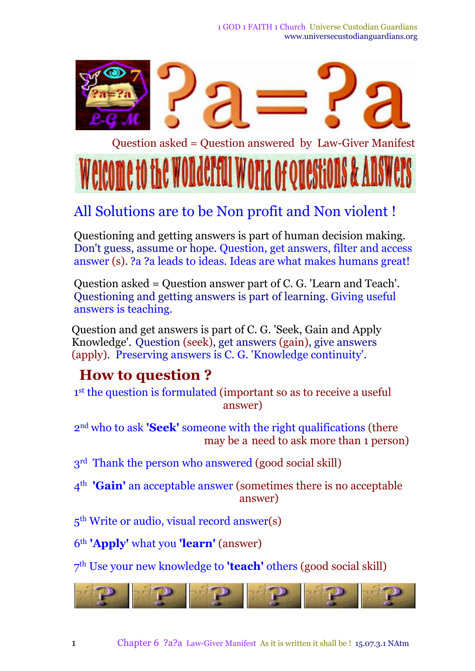1 GOD 1 FAITH 1 Church Universe Custodian Guardians www.universecustodianguardians.org



# All Solutions are to be Non profit and Non violent !

Questioning and getting answers is part of human decision making. Don't guess, assume or hope. Question, get answers, filter and access answer (s). ?a ?a leads to ideas. Ideas are what makes humans great!

Question asked = Question answer part of C. G. 'Learn and Teach'. Questioning and getting answers is part of learning. Giving useful answers is teaching.

Question and get answers is part of C. G. 'Seek, Gain and Apply Knowledge'. Question (seek), get answers (gain), give answers (apply). Preserving answers is C. G. 'Knowledge continuity'.

#### **How to question ?**

1<sup>st</sup> the question is formulated (important so as to receive a useful answer)

2 nd who to ask **'Seek'** someone with the right qualifications (there may be a need to ask more than 1 person)

3<sup>rd</sup> Thank the person who answered (good social skill)

4 th **'Gain'** an acceptable answer (sometimes there is no acceptable answer)

5<sup>th</sup> Write or audio, visual record answer(s)

6 th **'Apply'** what you **'learn'** (answer)

7 th Use your new knowledge to **'teach'** others (good social skill)